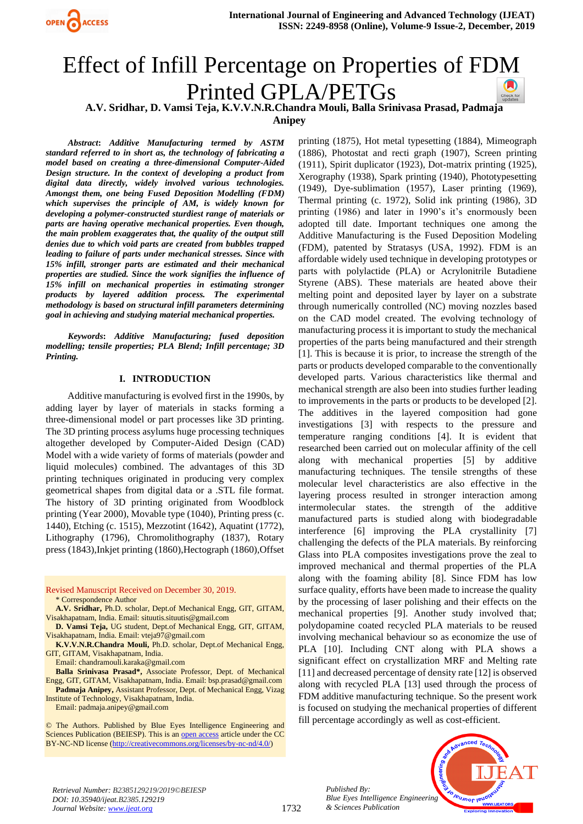

# Effect of Infill Percentage on Properties of FDM Printed GPLA/PETGs

**A.V. Sridhar, D. Vamsi Teja, K.V.V.N.R.Chandra Mouli, Balla Srinivasa Prasad, Padmaja** 

**Anipey**

*Abstract***:** *Additive Manufacturing termed by ASTM standard referred to in short as, the technology of fabricating a model based on creating a three-dimensional Computer-Aided Design structure. In the context of developing a product from digital data directly, widely involved various technologies. Amongst them, one being Fused Deposition Modelling (FDM) which supervises the principle of AM, is widely known for developing a polymer-constructed sturdiest range of materials or parts are having operative mechanical properties. Even though, the main problem exaggerates that, the quality of the output still denies due to which void parts are created from bubbles trapped leading to failure of parts under mechanical stresses. Since with 15% infill, stronger parts are estimated and their mechanical properties are studied. Since the work signifies the influence of 15% infill on mechanical properties in estimating stronger products by layered addition process. The experimental methodology is based on structural infill parameters determining goal in achieving and studying material mechanical properties.*

*Keywords***:** *Additive Manufacturing; fused deposition modelling; tensile properties; PLA Blend; Infill percentage; 3D Printing.*

#### **I. INTRODUCTION**

Additive manufacturing is evolved first in the 1990s, by adding layer by layer of materials in stacks forming a three-dimensional model or part processes like 3D printing. The 3D printing process asylums huge processing techniques altogether developed by Computer-Aided Design (CAD) Model with a wide variety of forms of materials (powder and liquid molecules) combined. The advantages of this 3D printing techniques originated in producing very complex geometrical shapes from digital data or a .STL file format. The history of 3D printing originated from Woodblock printing (Year 2000), Movable type (1040), Printing press (c. 1440), Etching (c. 1515), Mezzotint (1642), Aquatint (1772), Lithography (1796), Chromolithography (1837), Rotary press (1843),Inkjet printing (1860),Hectograph (1860),Offset

Revised Manuscript Received on December 30, 2019. \* Correspondence Author

- **A.V. Sridhar,** Ph.D. scholar, Dept.of Mechanical Engg, GIT, GITAM, Visakhapatnam, India. Email[: situutis.situutis@gmail.com](mailto:situutis.situutis@gmail.com)
- **D. Vamsi Teja,** UG student, Dept.of Mechanical Engg, GIT, GITAM, Visakhapatnam, India. Email[: vteja97@gmail.com](mailto:vteja97@gmail.com)
- **K.V.V.N.R.Chandra Mouli,** Ph.D. scholar, Dept.of Mechanical Engg, GIT, GITAM, Visakhapatnam, India.
	- Email[: chandramouli.karaka@gmail.com](mailto:chandramouli.karaka@gmail.com)

**Balla Srinivasa Prasad\*,** Associate Professor, Dept. of Mechanical Engg, GIT, GITAM, Visakhapatnam, India. Email: bsp.prasad@gmail.com **Padmaja Anipey,** Assistant Professor, Dept. of Mechanical Engg, Vizag

Institute of Technology, Visakhapatnam, India. Email[: padmaja.anipey@gmail.com](mailto:padmaja.anipey@gmail.com)

© The Authors. Published by Blue Eyes Intelligence Engineering and Sciences Publication (BEIESP). This is a[n open access](https://www.openaccess.nl/en/open-publications) article under the CC BY-NC-ND license [\(http://creativecommons.org/licenses/by-nc-nd/4.0/\)](http://creativecommons.org/licenses/by-nc-nd/4.0/)

printing (1875), Hot metal typesetting (1884), Mimeograph (1886), Photostat and recti graph (1907), Screen printing (1911), Spirit duplicator (1923), Dot-matrix printing (1925), Xerography (1938), Spark printing (1940), Phototypesetting (1949), Dye-sublimation (1957), Laser printing (1969), Thermal printing (c. 1972), Solid ink printing (1986), 3D printing (1986) and later in 1990's it's enormously been adopted till date. Important techniques one among the Additive Manufacturing is the Fused Deposition Modeling (FDM), patented by Stratasys (USA, 1992). FDM is an affordable widely used technique in developing prototypes or parts with polylactide (PLA) or Acrylonitrile Butadiene Styrene (ABS). These materials are heated above their melting point and deposited layer by layer on a substrate through numerically controlled (NC) moving nozzles based on the CAD model created. The evolving technology of manufacturing process it is important to study the mechanical properties of the parts being manufactured and their strength [1]. This is because it is prior, to increase the strength of the parts or products developed comparable to the conventionally developed parts. Various characteristics like thermal and mechanical strength are also been into studies further leading to improvements in the parts or products to be developed [2]. The additives in the layered composition had gone investigations [3] with respects to the pressure and temperature ranging conditions [4]. It is evident that researched been carried out on molecular affinity of the cell along with mechanical properties [5] by additive manufacturing techniques. The tensile strengths of these molecular level characteristics are also effective in the layering process resulted in stronger interaction among intermolecular states. the strength of the additive manufactured parts is studied along with biodegradable interference [6] improving the PLA crystallinity [7] challenging the defects of the PLA materials. By reinforcing Glass into PLA composites investigations prove the zeal to improved mechanical and thermal properties of the PLA along with the foaming ability [8]. Since FDM has low surface quality, efforts have been made to increase the quality by the processing of laser polishing and their effects on the mechanical properties [9]. Another study involved that; polydopamine coated recycled PLA materials to be reused involving mechanical behaviour so as economize the use of PLA [10]. Including CNT along with PLA shows a significant effect on crystallization MRF and Melting rate [11] and decreased percentage of density rate [12] is observed along with recycled PLA [13] used through the process of FDM additive manufacturing technique. So the present work is focused on studying the mechanical properties of different fill percentage accordingly as well as cost-efficient.



*Published By: Blue Eyes Intelligence Engineering & Sciences Publication* 

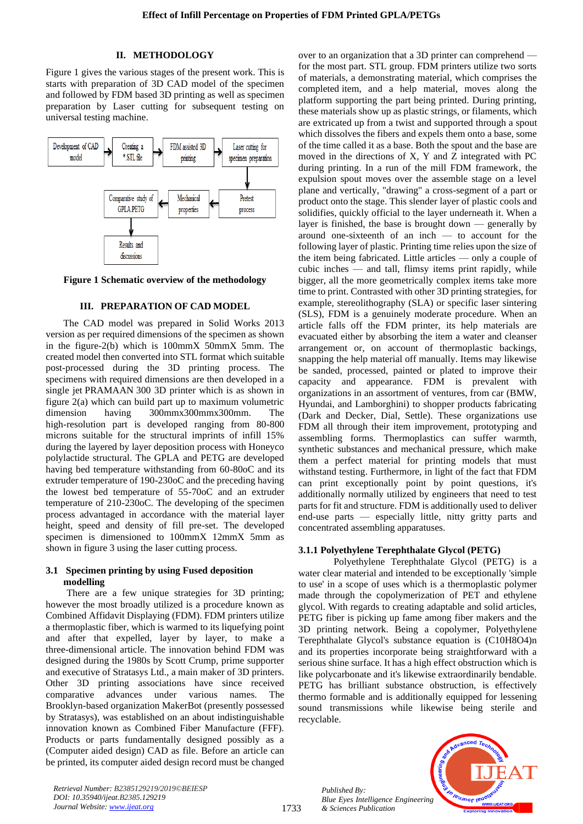## **II. METHODOLOGY**

Figure 1 gives the various stages of the present work. This is starts with preparation of 3D CAD model of the specimen and followed by FDM based 3D printing as well as specimen preparation by Laser cutting for subsequent testing on universal testing machine.



**Figure 1 Schematic overview of the methodology**

## **III. PREPARATION OF CAD MODEL**

The CAD model was prepared in Solid Works 2013 version as per required dimensions of the specimen as shown in the figure-2(b) which is 100mmX 50mmX 5mm. The created model then converted into STL format which suitable post-processed during the 3D printing process. The specimens with required dimensions are then developed in a single jet PRAMAAN 300 3D printer which is as shown in figure 2(a) which can build part up to maximum volumetric dimension having 300mmx300mmx300mm. The high-resolution part is developed ranging from 80-800 microns suitable for the structural imprints of infill 15% during the layered by layer deposition process with Honeyco polylactide structural. The GPLA and PETG are developed having bed temperature withstanding from 60-80oC and its extruder temperature of 190-230oC and the preceding having the lowest bed temperature of 55-70oC and an extruder temperature of 210-230oC. The developing of the specimen process advantaged in accordance with the material layer height, speed and density of fill pre-set. The developed specimen is dimensioned to 100mmX 12mmX 5mm as shown in figure 3 using the laser cutting process.

## **3.1 Specimen printing by using Fused deposition modelling**

There are a few unique strategies for 3D printing; however the most broadly utilized is a procedure known as Combined Affidavit Displaying (FDM). FDM printers utilize a thermoplastic fiber, which is warmed to its liquefying point and after that expelled, layer by layer, to make a three-dimensional article. The innovation behind FDM was designed during the 1980s by Scott Crump, prime supporter and executive of Stratasys Ltd., a main maker of 3D printers. Other 3D printing associations have since received comparative advances under various names. The Brooklyn-based organization MakerBot (presently possessed by Stratasys), was established on an about indistinguishable innovation known as Combined Fiber Manufacture (FFF). Products or parts fundamentally designed possibly as a (Computer aided design) CAD as file. Before an article can be printed, its computer aided design record must be changed over to an organization that a 3D printer can comprehend for the most part. STL group. FDM printers utilize two sorts of materials, a demonstrating material, which comprises the completed item, and a help material, moves along the platform supporting the part being printed. During printing, these materials show up as plastic strings, or filaments, which are extricated up from a twist and supported through a spout which dissolves the fibers and expels them onto a base, some of the time called it as a base. Both the spout and the base are moved in the directions of X, Y and Z integrated with PC during printing. In a run of the mill FDM framework, the expulsion spout moves over the assemble stage on a level plane and vertically, "drawing" a cross-segment of a part or product onto the stage. This slender layer of plastic cools and solidifies, quickly official to the layer underneath it. When a layer is finished, the base is brought down — generally by around one-sixteenth of an inch — to account for the following layer of plastic. Printing time relies upon the size of the item being fabricated. Little articles — only a couple of cubic inches — and tall, flimsy items print rapidly, while bigger, all the more geometrically complex items take more time to print. Contrasted with other 3D printing strategies, for example, stereolithography (SLA) or specific laser sintering (SLS), FDM is a genuinely moderate procedure. When an article falls off the FDM printer, its help materials are evacuated either by absorbing the item a water and cleanser arrangement or, on account of thermoplastic backings, snapping the help material off manually. Items may likewise be sanded, processed, painted or plated to improve their capacity and appearance. FDM is prevalent with organizations in an assortment of ventures, from car (BMW, Hyundai, and Lamborghini) to shopper products fabricating (Dark and Decker, Dial, Settle). These organizations use FDM all through their item improvement, prototyping and assembling forms. Thermoplastics can suffer warmth, synthetic substances and mechanical pressure, which make them a perfect material for printing models that must withstand testing. Furthermore, in light of the fact that FDM can print exceptionally point by point questions, it's additionally normally utilized by engineers that need to test parts for fit and structure. FDM is additionally used to deliver end-use parts — especially little, nitty gritty parts and concentrated assembling apparatuses.

#### **3.1.1 Polyethylene Terephthalate Glycol (PETG)**

Polyethylene Terephthalate Glycol (PETG) is a water clear material and intended to be exceptionally 'simple to use' in a scope of uses which is a thermoplastic polymer made through the copolymerization of PET and ethylene glycol. With regards to creating adaptable and solid articles, PETG fiber is picking up fame among fiber makers and the 3D printing network. Being a copolymer, Polyethylene Terephthalate Glycol's substance equation is (C10H8O4)n and its properties incorporate being straightforward with a serious shine surface. It has a high effect obstruction which is like polycarbonate and it's likewise extraordinarily bendable. PETG has brilliant substance obstruction, is effectively thermo formable and is additionally equipped for lessening sound transmissions while likewise being sterile and recyclable.

*Published By: Blue Eyes Intelligence Engineering & Sciences Publication* 



*Retrieval Number: B2385129219/2019©BEIESP DOI: 10.35940/ijeat.B2385.129219 Journal Website[: www.ijeat.org](http://www.ijeat.org/)*

1733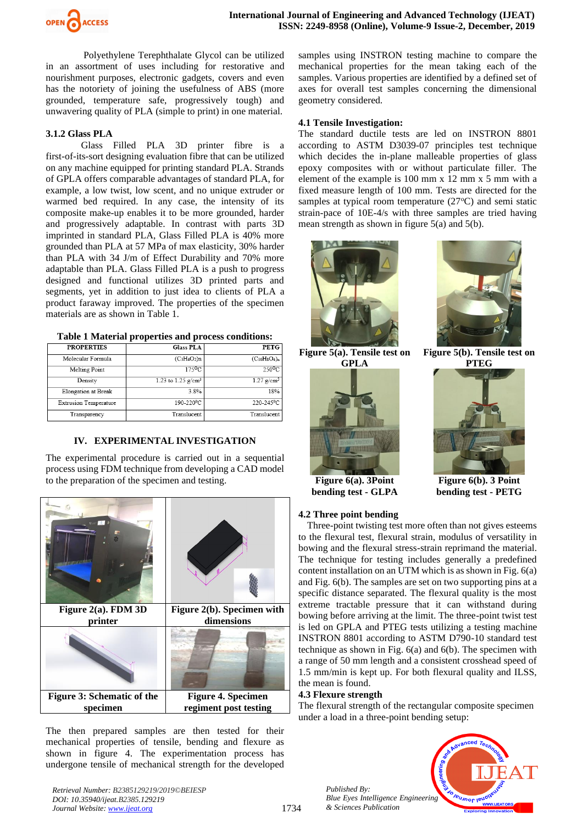

Polyethylene Terephthalate Glycol can be utilized in an assortment of uses including for restorative and nourishment purposes, electronic gadgets, covers and even has the notoriety of joining the usefulness of ABS (more grounded, temperature safe, progressively tough) and unwavering quality of PLA (simple to print) in one material.

#### **3.1.2 Glass PLA**

Glass Filled PLA 3D printer fibre is a first-of-its-sort designing evaluation fibre that can be utilized on any machine equipped for printing standard PLA. Strands of GPLA offers comparable advantages of standard PLA, for example, a low twist, low scent, and no unique extruder or warmed bed required. In any case, the intensity of its composite make-up enables it to be more grounded, harder and progressively adaptable. In contrast with parts 3D imprinted in standard PLA, Glass Filled PLA is 40% more grounded than PLA at 57 MPa of max elasticity, 30% harder than PLA with 34 J/m of Effect Durability and 70% more adaptable than PLA. Glass Filled PLA is a push to progress designed and functional utilizes 3D printed parts and segments, yet in addition to just idea to clients of PLA a product faraway improved. The properties of the specimen materials are as shown in Table 1.

**Table 1 Material properties and process conditions:**

| Tuole I hiuteliul properties unu process conuncilist |                                  |                           |
|------------------------------------------------------|----------------------------------|---------------------------|
| <b>PROPERTIES</b>                                    | <b>Glass PLA</b>                 | <b>PETG</b>               |
| Molecular Formula                                    | $(C_3H_4O_2)n$                   | $(C_{10}H_8O_4)_n$        |
| Melting Point                                        | 175 <sup>o</sup> C               | $250$ <sup>O</sup> C      |
| Density                                              | 1.23 to $1.25$ g/cm <sup>3</sup> | $1.27$ g/cm <sup>3</sup>  |
| <b>Elongation</b> at Break                           | 3.8%                             | 18%                       |
| <b>Extrusion Temperature</b>                         | 190-220 <sup>0</sup> C           | $220-245\overline{{}^0C}$ |
| Transparency                                         | Translucent                      | Translucent               |

## **IV. EXPERIMENTAL INVESTIGATION**

The experimental procedure is carried out in a sequential process using FDM technique from developing a CAD model to the preparation of the specimen and testing.



The then prepared samples are then tested for their mechanical properties of tensile, bending and flexure as shown in figure 4. The experimentation process has undergone tensile of mechanical strength for the developed

samples using INSTRON testing machine to compare the mechanical properties for the mean taking each of the samples. Various properties are identified by a defined set of axes for overall test samples concerning the dimensional geometry considered.

#### **4.1 Tensile Investigation:**

The standard ductile tests are led on INSTRON 8801 according to ASTM D3039-07 principles test technique which decides the in-plane malleable properties of glass epoxy composites with or without particulate filler. The element of the example is 100 mm x 12 mm x 5 mm with a fixed measure length of 100 mm. Tests are directed for the samples at typical room temperature  $(27^{\circ}C)$  and semi static strain-pace of 10E-4/s with three samples are tried having mean strength as shown in figure 5(a) and 5(b).





**Figure 5(a). Tensile test on GPLA**







**Figure 6(b). 3 Point bending test - PETG**

**Figure 6(a). 3Point bending test - GLPA**

#### **4.2 Three point bending**

Three-point twisting test more often than not gives esteems to the flexural test, flexural strain, modulus of versatility in bowing and the flexural stress-strain reprimand the material. The technique for testing includes generally a predefined content installation on an UTM which is as shown in Fig. 6(a) and Fig. 6(b). The samples are set on two supporting pins at a specific distance separated. The flexural quality is the most extreme tractable pressure that it can withstand during bowing before arriving at the limit. The three-point twist test is led on GPLA and PTEG tests utilizing a testing machine INSTRON 8801 according to ASTM D790-10 standard test technique as shown in Fig. 6(a) and 6(b). The specimen with a range of 50 mm length and a consistent crosshead speed of 1.5 mm/min is kept up. For both flexural quality and ILSS, the mean is found.

## **4.3 Flexure strength**

The flexural strength of the rectangular composite specimen under a load in a three-point bending setup:

> *Published By: Blue Eyes Intelligence Engineering & Sciences Publication*



*Retrieval Number: B2385129219/2019©BEIESP DOI: 10.35940/ijeat.B2385.129219 Journal Website[: www.ijeat.org](http://www.ijeat.org/)*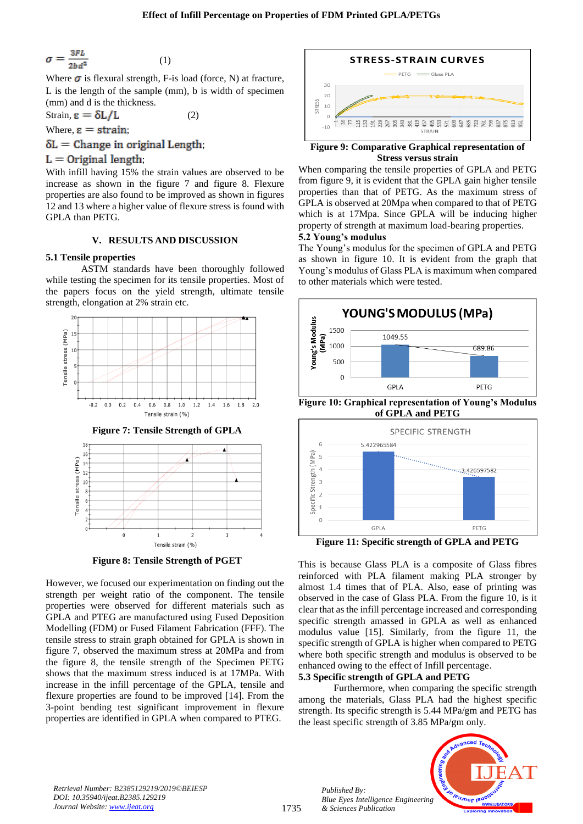$$
\sigma = \frac{3FL}{2bd^2} \tag{1}
$$

Where  $\sigma$  is flexural strength, F-is load (force, N) at fracture, L is the length of the sample (mm), b is width of specimen (mm) and d is the thickness.

Strain,  $\epsilon = \delta L / L$  (2)

Where,  $\epsilon$  = strain;

 $\delta L =$  Change in original Length;

## $L =$  Original length

With infill having 15% the strain values are observed to be increase as shown in the figure 7 and figure 8. Flexure properties are also found to be improved as shown in figures 12 and 13 where a higher value of flexure stress is found with GPLA than PETG.

## **V. RESULTS AND DISCUSSION**

## **5.1 Tensile properties**

ASTM standards have been thoroughly followed while testing the specimen for its tensile properties. Most of the papers focus on the yield strength, ultimate tensile strength, elongation at 2% strain etc.



**Figure 8: Tensile Strength of PGET**

Tensile strain (%)

 $\overline{z}$ 

 $\overline{3}$ 

 $\mathbf{1}$ 

 $\sqrt{2}$ 

However, we focused our experimentation on finding out the strength per weight ratio of the component. The tensile properties were observed for different materials such as GPLA and PTEG are manufactured using Fused Deposition Modelling (FDM) or Fused Filament Fabrication (FFF). The tensile stress to strain graph obtained for GPLA is shown in figure 7, observed the maximum stress at 20MPa and from the figure 8, the tensile strength of the Specimen PETG shows that the maximum stress induced is at 17MPa. With increase in the infill percentage of the GPLA, tensile and flexure properties are found to be improved [14]. From the 3-point bending test significant improvement in flexure properties are identified in GPLA when compared to PTEG.



**Figure 9: Comparative Graphical representation of Stress versus strain**

When comparing the tensile properties of GPLA and PETG from figure 9, it is evident that the GPLA gain higher tensile properties than that of PETG. As the maximum stress of GPLA is observed at 20Mpa when compared to that of PETG which is at 17Mpa. Since GPLA will be inducing higher property of strength at maximum load-bearing properties. **5.2 Young's modulus**

The Young's modulus for the specimen of GPLA and PETG as shown in figure 10. It is evident from the graph that Young's modulus of Glass PLA is maximum when compared to other materials which were tested.



**of GPLA and PETG**



**Figure 11: Specific strength of GPLA and PETG**

This is because Glass PLA is a composite of Glass fibres reinforced with PLA filament making PLA stronger by almost 1.4 times that of PLA. Also, ease of printing was observed in the case of Glass PLA. From the figure 10, is it clear that as the infill percentage increased and corresponding specific strength amassed in GPLA as well as enhanced modulus value [15]. Similarly, from the figure 11, the specific strength of GPLA is higher when compared to PETG where both specific strength and modulus is observed to be enhanced owing to the effect of Infill percentage.

## **5.3 Specific strength of GPLA and PETG**

Furthermore, when comparing the specific strength among the materials, Glass PLA had the highest specific strength. Its specific strength is 5.44 MPa/gm and PETG has the least specific strength of 3.85 MPa/gm only.



*Retrieval Number: B2385129219/2019©BEIESP DOI: 10.35940/ijeat.B2385.129219 Journal Website[: www.ijeat.org](http://www.ijeat.org/)*

*Published By:*

*& Sciences Publication*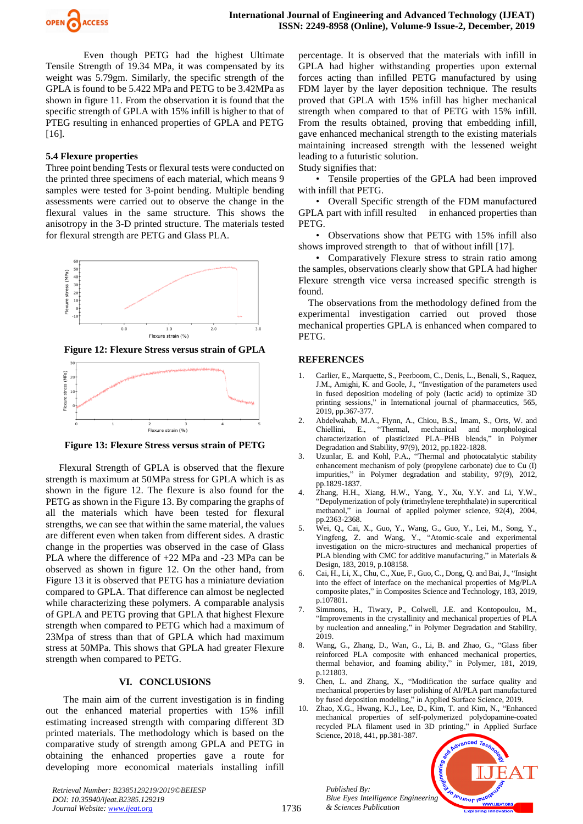

Even though PETG had the highest Ultimate Tensile Strength of 19.34 MPa, it was compensated by its weight was 5.79gm. Similarly, the specific strength of the GPLA is found to be 5.422 MPa and PETG to be 3.42MPa as shown in figure 11. From the observation it is found that the specific strength of GPLA with 15% infill is higher to that of PTEG resulting in enhanced properties of GPLA and PETG [16].

#### **5.4 Flexure properties**

Three point bending Tests or flexural tests were conducted on the printed three specimens of each material, which means 9 samples were tested for 3-point bending. Multiple bending assessments were carried out to observe the change in the flexural values in the same structure. This shows the anisotropy in the 3-D printed structure. The materials tested for flexural strength are PETG and Glass PLA.



**Figure 12: Flexure Stress versus strain of GPLA**



**Figure 13: Flexure Stress versus strain of PETG**

Flexural Strength of GPLA is observed that the flexure strength is maximum at 50MPa stress for GPLA which is as shown in the figure 12. The flexure is also found for the PETG as shown in the Figure 13. By comparing the graphs of all the materials which have been tested for flexural strengths, we can see that within the same material, the values are different even when taken from different sides. A drastic change in the properties was observed in the case of Glass PLA where the difference of +22 MPa and -23 MPa can be observed as shown in figure 12. On the other hand, from Figure 13 it is observed that PETG has a miniature deviation compared to GPLA. That difference can almost be neglected while characterizing these polymers. A comparable analysis of GPLA and PETG proving that GPLA that highest Flexure strength when compared to PETG which had a maximum of 23Mpa of stress than that of GPLA which had maximum stress at 50MPa. This shows that GPLA had greater Flexure strength when compared to PETG.

#### **VI. CONCLUSIONS**

The main aim of the current investigation is in finding out the enhanced material properties with 15% infill estimating increased strength with comparing different 3D printed materials. The methodology which is based on the comparative study of strength among GPLA and PETG in obtaining the enhanced properties gave a route for developing more economical materials installing infill

*Retrieval Number: B2385129219/2019©BEIESP DOI: 10.35940/ijeat.B2385.129219 Journal Website[: www.ijeat.org](http://www.ijeat.org/)*

percentage. It is observed that the materials with infill in GPLA had higher withstanding properties upon external forces acting than infilled PETG manufactured by using FDM layer by the layer deposition technique. The results proved that GPLA with 15% infill has higher mechanical strength when compared to that of PETG with 15% infill. From the results obtained, proving that embedding infill, gave enhanced mechanical strength to the existing materials maintaining increased strength with the lessened weight leading to a futuristic solution.

Study signifies that:

• Tensile properties of the GPLA had been improved with infill that PETG.

• Overall Specific strength of the FDM manufactured GPLA part with infill resulted in enhanced properties than PETG.

• Observations show that PETG with 15% infill also shows improved strength to that of without infill [17].

• Comparatively Flexure stress to strain ratio among the samples, observations clearly show that GPLA had higher Flexure strength vice versa increased specific strength is found.

The observations from the methodology defined from the experimental investigation carried out proved those mechanical properties GPLA is enhanced when compared to PETG.

#### **REFERENCES**

- 1. Carlier, E., Marquette, S., Peerboom, C., Denis, L., Benali, S., Raquez, J.M., Amighi, K. and Goole, J., "Investigation of the parameters used in fused deposition modeling of poly (lactic acid) to optimize 3D printing sessions," in International journal of pharmaceutics, 565, 2019, pp.367-377.
- 2. Abdelwahab, M.A., Flynn, A., Chiou, B.S., Imam, S., Orts, W. and Chiellini, E., "Thermal, mechanical and morphological characterization of plasticized PLA–PHB blends," in Polymer Degradation and Stability, 97(9), 2012, pp.1822-1828.
- 3. Uzunlar, E. and Kohl, P.A., "Thermal and photocatalytic stability enhancement mechanism of poly (propylene carbonate) due to Cu (I) impurities," in Polymer degradation and stability, 97(9), 2012, pp.1829-1837.
- 4. Zhang, H.H., Xiang, H.W., Yang, Y., Xu, Y.Y. and Li, Y.W., "Depolymerization of poly (trimethylene terephthalate) in supercritical methanol," in Journal of applied polymer science, 92(4), 2004, pp.2363-2368.
- 5. Wei, Q., Cai, X., Guo, Y., Wang, G., Guo, Y., Lei, M., Song, Y., Yingfeng, Z. and Wang, Y., "Atomic-scale and experimental investigation on the micro-structures and mechanical properties of PLA blending with CMC for additive manufacturing," in Materials & Design, 183, 2019, p.108158.
- 6. Cai, H., Li, X., Chu, C., Xue, F., Guo, C., Dong, Q. and Bai, J., "Insight into the effect of interface on the mechanical properties of Mg/PLA composite plates," in Composites Science and Technology, 183, 2019, p.107801.
- 7. Simmons, H., Tiwary, P., Colwell, J.E. and Kontopoulou, M., "Improvements in the crystallinity and mechanical properties of PLA by nucleation and annealing," in Polymer Degradation and Stability, 2019.
- 8. Wang, G., Zhang, D., Wan, G., Li, B. and Zhao, G., "Glass fiber reinforced PLA composite with enhanced mechanical properties, thermal behavior, and foaming ability," in Polymer, 181, 2019, p.121803.
- 9. Chen, L. and Zhang, X., "Modification the surface quality and mechanical properties by laser polishing of Al/PLA part manufactured by fused deposition modeling," in Applied Surface Science, 2019.
- 10. Zhao, X.G., Hwang, K.J., Lee, D., Kim, T. and Kim, N., "Enhanced mechanical properties of self-polymerized polydopamine-coated recycled PLA filament used in 3D printing," in Applied Surface Science, 2018, 441, pp.381-387.



*Published By:*

*& Sciences Publication*